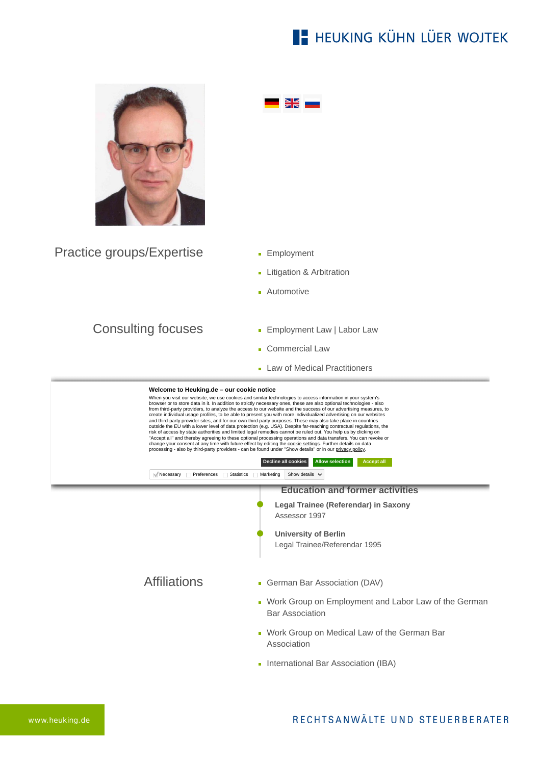## **E- HEUKING KÜHN LÜER WOJTEK**